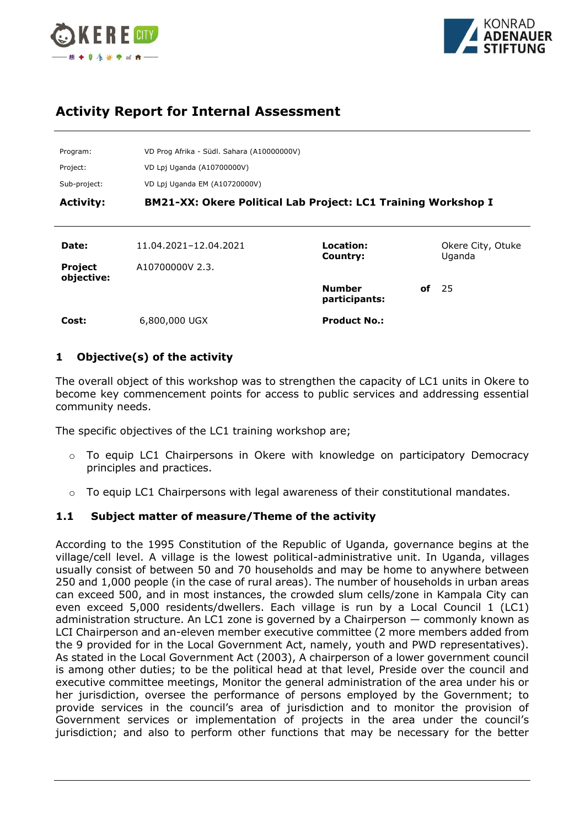



# **Activity Report for Internal Assessment**

| Program:                     | VD Prog Afrika - Südl. Sahara (A10000000V)                           |                                |    |                             |
|------------------------------|----------------------------------------------------------------------|--------------------------------|----|-----------------------------|
| Project:                     | VD Lpj Uganda (A10700000V)                                           |                                |    |                             |
| Sub-project:                 | VD Lpj Uganda EM (A10720000V)                                        |                                |    |                             |
| <b>Activity:</b>             | <b>BM21-XX: Okere Political Lab Project: LC1 Training Workshop I</b> |                                |    |                             |
|                              |                                                                      |                                |    |                             |
| Date:                        | 11.04.2021-12.04.2021                                                | Location:<br>Country:          |    | Okere City, Otuke<br>Uganda |
| <b>Project</b><br>objective: | A10700000V 2.3.                                                      |                                |    |                             |
|                              |                                                                      | <b>Number</b><br>participants: | οf | - 25                        |
| Cost:                        | 6,800,000 UGX                                                        | <b>Product No.:</b>            |    |                             |

### **1 Objective(s) of the activity**

The overall object of this workshop was to strengthen the capacity of LC1 units in Okere to become key commencement points for access to public services and addressing essential community needs.

The specific objectives of the LC1 training workshop are;

- $\circ$  To equip LC1 Chairpersons in Okere with knowledge on participatory Democracy principles and practices.
- To equip LC1 Chairpersons with legal awareness of their constitutional mandates.

### **1.1 Subject matter of measure/Theme of the activity**

According to the 1995 Constitution of the Republic of Uganda, governance begins at the village/cell level. A village is the lowest political-administrative unit. In Uganda, villages usually consist of between 50 and 70 households and may be home to anywhere between 250 and 1,000 people (in the case of rural areas). The number of households in urban areas can exceed 500, and in most instances, the crowded slum cells/zone in Kampala City can even exceed 5,000 residents/dwellers. Each village is run by a Local Council 1 (LC1) administration structure. An LC1 zone is governed by a Chairperson — commonly known as LCI Chairperson and an-eleven member executive committee (2 more members added from the 9 provided for in the Local Government Act, namely, youth and PWD representatives). As stated in the Local Government Act (2003), A chairperson of a lower government council is among other duties; to be the political head at that level, Preside over the council and executive committee meetings, Monitor the general administration of the area under his or her jurisdiction, oversee the performance of persons employed by the Government; to provide services in the council's area of jurisdiction and to monitor the provision of Government services or implementation of projects in the area under the council's jurisdiction; and also to perform other functions that may be necessary for the better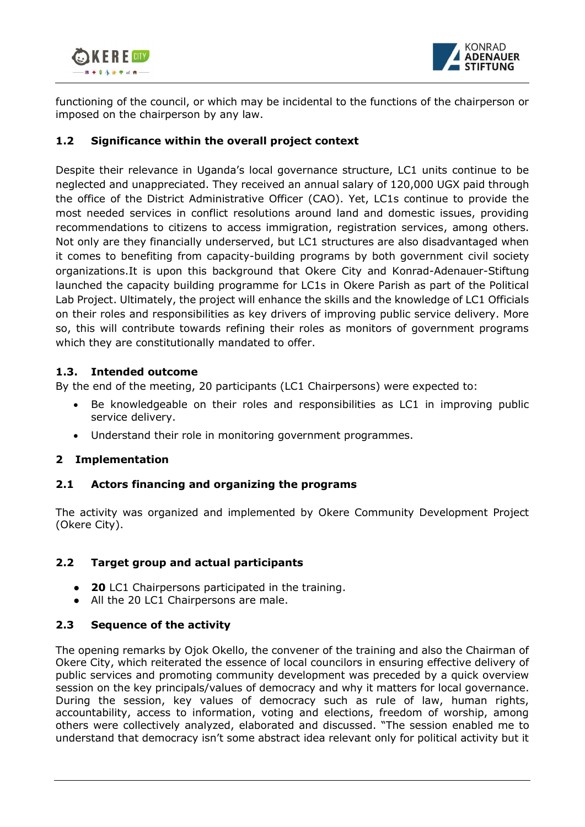



functioning of the council, or which may be incidental to the functions of the chairperson or imposed on the chairperson by any law.

# **1.2 Significance within the overall project context**

Despite their relevance in Uganda's local governance structure, LC1 units continue to be neglected and unappreciated. They received an annual salary of 120,000 UGX paid through the office of the District Administrative Officer (CAO). Yet, LC1s continue to provide the most needed services in conflict resolutions around land and domestic issues, providing recommendations to citizens to access immigration, registration services, among others. Not only are they financially underserved, but LC1 structures are also disadvantaged when it comes to benefiting from capacity-building programs by both government civil society organizations.It is upon this background that Okere City and Konrad-Adenauer-Stiftung launched the capacity building programme for LC1s in Okere Parish as part of the Political Lab Project. Ultimately, the project will enhance the skills and the knowledge of LC1 Officials on their roles and responsibilities as key drivers of improving public service delivery. More so, this will contribute towards refining their roles as monitors of government programs which they are constitutionally mandated to offer.

# **1.3. Intended outcome**

By the end of the meeting, 20 participants (LC1 Chairpersons) were expected to:

- Be knowledgeable on their roles and responsibilities as LC1 in improving public service delivery.
- Understand their role in monitoring government programmes.

# **2 Implementation**

### **2.1 Actors financing and organizing the programs**

The activity was organized and implemented by Okere Community Development Project (Okere City).

# **2.2 Target group and actual participants**

- **20** LC1 Chairpersons participated in the training.
- All the 20 LC1 Chairpersons are male.

### **2.3 Sequence of the activity**

The opening remarks by Ojok Okello, the convener of the training and also the Chairman of Okere City, which reiterated the essence of local councilors in ensuring effective delivery of public services and promoting community development was preceded by a quick overview session on the key principals/values of democracy and why it matters for local governance. During the session, key values of democracy such as rule of law, human rights, accountability, access to information, voting and elections, freedom of worship, among others were collectively analyzed, elaborated and discussed. "The session enabled me to understand that democracy isn't some abstract idea relevant only for political activity but it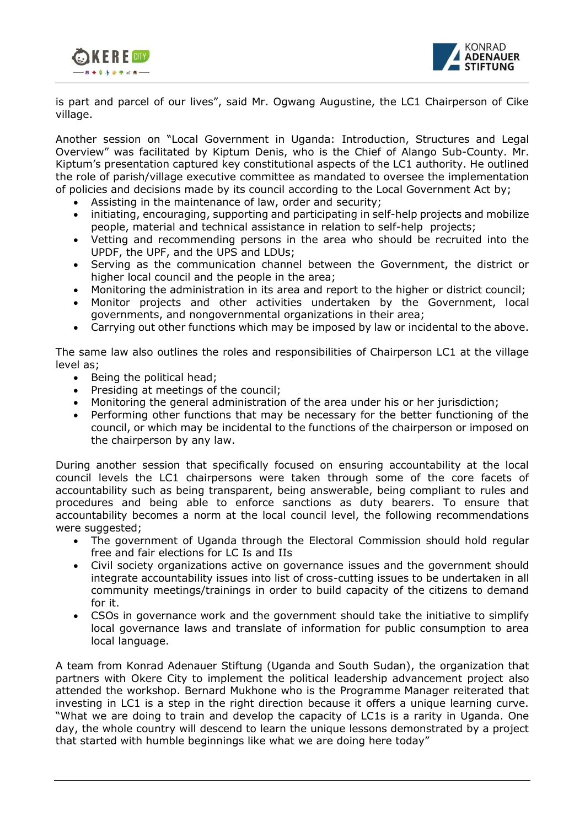



is part and parcel of our lives", said Mr. Ogwang Augustine, the LC1 Chairperson of Cike village.

Another session on "Local Government in Uganda: Introduction, Structures and Legal Overview" was facilitated by Kiptum Denis, who is the Chief of Alango Sub-County. Mr. Kiptum's presentation captured key constitutional aspects of the LC1 authority. He outlined the role of parish/village executive committee as mandated to oversee the implementation of policies and decisions made by its council according to the Local Government Act by;

- Assisting in the maintenance of law, order and security;
- initiating, encouraging, supporting and participating in self-help projects and mobilize people, material and technical assistance in relation to self-help projects;
- Vetting and recommending persons in the area who should be recruited into the UPDF, the UPF, and the UPS and LDUs;
- Serving as the communication channel between the Government, the district or higher local council and the people in the area;
- Monitoring the administration in its area and report to the higher or district council;
- Monitor projects and other activities undertaken by the Government, local governments, and nongovernmental organizations in their area;
- Carrying out other functions which may be imposed by law or incidental to the above.

The same law also outlines the roles and responsibilities of Chairperson LC1 at the village level as;

- Being the political head;
- Presiding at meetings of the council;
- Monitoring the general administration of the area under his or her jurisdiction;
- Performing other functions that may be necessary for the better functioning of the council, or which may be incidental to the functions of the chairperson or imposed on the chairperson by any law.

During another session that specifically focused on ensuring accountability at the local council levels the LC1 chairpersons were taken through some of the core facets of accountability such as being transparent, being answerable, being compliant to rules and procedures and being able to enforce sanctions as duty bearers. To ensure that accountability becomes a norm at the local council level, the following recommendations were suggested;

- The government of Uganda through the Electoral Commission should hold regular free and fair elections for LC Is and IIs
- Civil society organizations active on governance issues and the government should integrate accountability issues into list of cross-cutting issues to be undertaken in all community meetings/trainings in order to build capacity of the citizens to demand for it.
- CSOs in governance work and the government should take the initiative to simplify local governance laws and translate of information for public consumption to area local language.

A team from Konrad Adenauer Stiftung (Uganda and South Sudan), the organization that partners with Okere City to implement the political leadership advancement project also attended the workshop. Bernard Mukhone who is the Programme Manager reiterated that investing in LC1 is a step in the right direction because it offers a unique learning curve. "What we are doing to train and develop the capacity of LC1s is a rarity in Uganda. One day, the whole country will descend to learn the unique lessons demonstrated by a project that started with humble beginnings like what we are doing here today"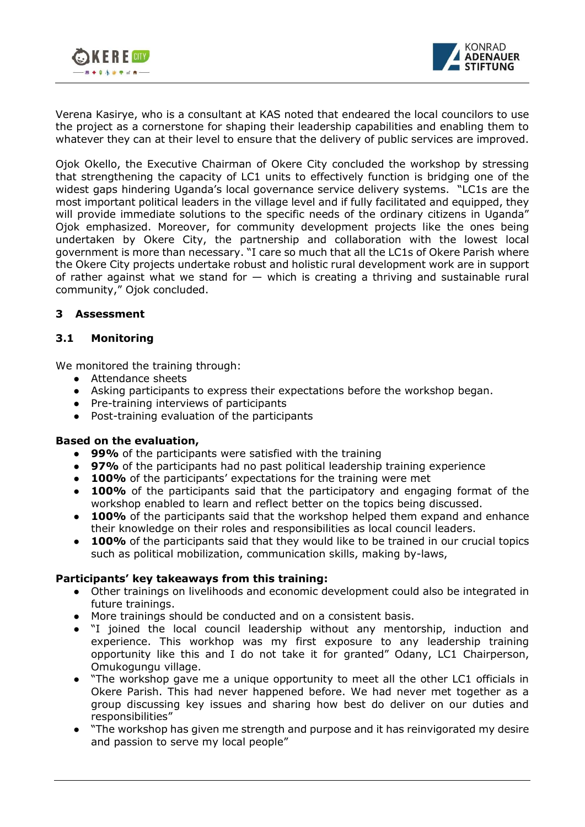



Verena Kasirye, who is a consultant at KAS noted that endeared the local councilors to use the project as a cornerstone for shaping their leadership capabilities and enabling them to whatever they can at their level to ensure that the delivery of public services are improved.

Ojok Okello, the Executive Chairman of Okere City concluded the workshop by stressing that strengthening the capacity of LC1 units to effectively function is bridging one of the widest gaps hindering Uganda's local governance service delivery systems. "LC1s are the most important political leaders in the village level and if fully facilitated and equipped, they will provide immediate solutions to the specific needs of the ordinary citizens in Uganda" Ojok emphasized. Moreover, for community development projects like the ones being undertaken by Okere City, the partnership and collaboration with the lowest local government is more than necessary. "I care so much that all the LC1s of Okere Parish where the Okere City projects undertake robust and holistic rural development work are in support of rather against what we stand for  $-$  which is creating a thriving and sustainable rural community," Ojok concluded.

### **3 Assessment**

### **3.1 Monitoring**

We monitored the training through:

- Attendance sheets
- Asking participants to express their expectations before the workshop began.
- Pre-training interviews of participants
- Post-training evaluation of the participants

#### **Based on the evaluation,**

- **99%** of the participants were satisfied with the training
- **97%** of the participants had no past political leadership training experience
- **100%** of the participants' expectations for the training were met
- **100%** of the participants said that the participatory and engaging format of the workshop enabled to learn and reflect better on the topics being discussed.
- **100%** of the participants said that the workshop helped them expand and enhance their knowledge on their roles and responsibilities as local council leaders.
- **100%** of the participants said that they would like to be trained in our crucial topics such as political mobilization, communication skills, making by-laws,

#### **Participants' key takeaways from this training:**

- Other trainings on livelihoods and economic development could also be integrated in future trainings.
- More trainings should be conducted and on a consistent basis.
- "I joined the local council leadership without any mentorship, induction and experience. This workhop was my first exposure to any leadership training opportunity like this and I do not take it for granted" Odany, LC1 Chairperson, Omukogungu village.
- "The workshop gave me a unique opportunity to meet all the other LC1 officials in Okere Parish. This had never happened before. We had never met together as a group discussing key issues and sharing how best do deliver on our duties and responsibilities"
- "The workshop has given me strength and purpose and it has reinvigorated my desire and passion to serve my local people"